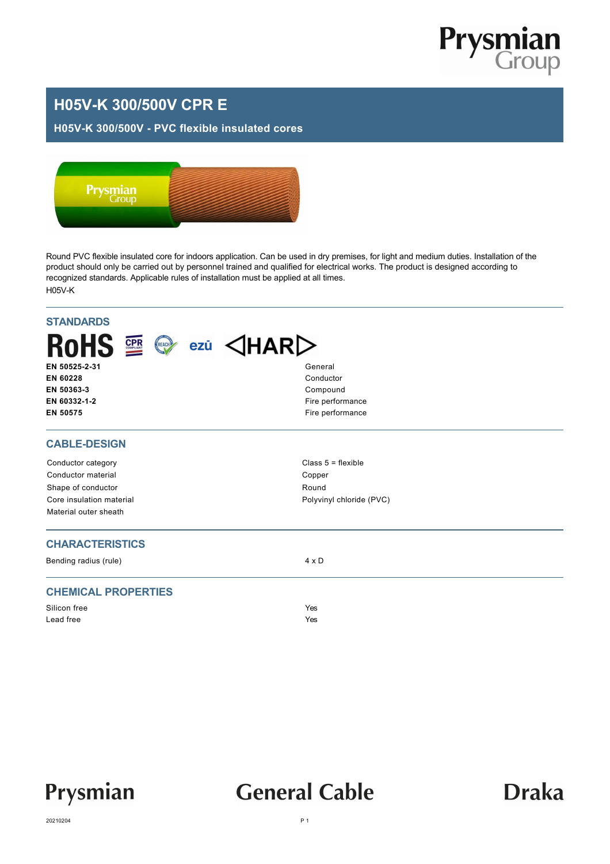

### **H05V-K 300/500V CPR E**

#### **H05V-K 300/500V - PVC flexible insulated cores**



Round PVC flexible insulated core for indoors application. Can be used in dry premises, for light and medium duties. Installation of the product should only be carried out by personnel trained and qualified for electrical works. The product is designed according to recognized standards. Applicable rules of installation must be applied at all times. H05V-K

| <b>STANDARDS</b><br>RoHS E ©<br>EN 50525-2-31<br>EN 60228<br>EN 50363-3<br>EN 60332-1-2<br>EN 50575 | $exi$ $\triangle$ HAR $\triangleright$<br>General<br>Conductor<br>Compound<br>Fire performance<br>Fire performance |
|-----------------------------------------------------------------------------------------------------|--------------------------------------------------------------------------------------------------------------------|
| <b>CABLE-DESIGN</b>                                                                                 |                                                                                                                    |
| Conductor category                                                                                  | Class $5 =$ flexible                                                                                               |
| Conductor material                                                                                  | Copper                                                                                                             |
| Shape of conductor                                                                                  | Round                                                                                                              |
| Core insulation material                                                                            | Polyvinyl chloride (PVC)                                                                                           |
| Material outer sheath                                                                               |                                                                                                                    |
| <b>CHARACTERISTICS</b>                                                                              |                                                                                                                    |
| Bending radius (rule)                                                                               | $4 \times D$                                                                                                       |
| <b>CHEMICAL PROPERTIES</b>                                                                          |                                                                                                                    |
| Silicon free                                                                                        | Yes                                                                                                                |
| Lead free                                                                                           | Yes                                                                                                                |
|                                                                                                     |                                                                                                                    |



## **General Cable**